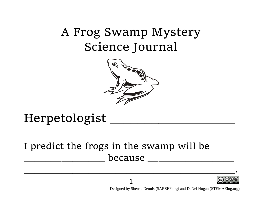# A Frog Swamp Mystery Science Journal



## Herpetologist \_\_\_\_\_\_\_\_\_\_\_\_\_\_\_\_\_\_

## I predict the frogs in the swamp will be because



Designed by Sherrie Dennis (SARSEF.org) and DaNel Hogan (STEMAZing.org)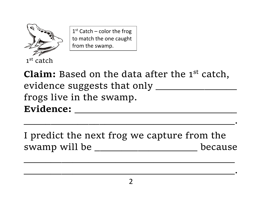

1<sup>st</sup> Catch – color the frog to match the one caught from the swamp.

**Claim:** Based on the data after the 1<sup>st</sup> catch, evidence suggests that only \_\_\_\_\_\_\_\_\_\_\_\_\_\_\_ frogs live in the swamp. Evidence:

I predict the next frog we capture from the swamp will be \_\_\_\_\_\_\_\_\_\_\_\_\_\_\_\_\_\_\_\_\_\_\_\_\_\_\_ because

 $\mathcal{L}_\text{max}$  , and the contract of the contract of the contract of the contract of the contract of the contract of the contract of the contract of the contract of the contract of the contract of the contract of the contr

 $_{\bullet}$  , and the contract of the contract of the contract of the contract of the contract of the contract of the contract of the contract of the contract of the contract of the contract of the contract of the contract of

 $_{\bullet}$  , and the contract of the contract of the contract of the contract of the contract of the contract of the contract of the contract of the contract of the contract of the contract of the contract of the contract of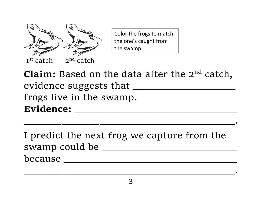

Color the frogs to match the one's caught from the swamp.

**Claim:** Based on the data after the 2<sup>nd</sup> catch, evidence suggests that \_\_\_\_\_\_\_\_\_\_\_\_\_\_\_\_\_\_\_ frogs live in the swamp.  $\bf{Evidence:}$ 

 $_{\bullet}$  , and the contract of the contract of the contract of the contract of the contract of the contract of the contract of the contract of the contract of the contract of the contract of the contract of the contract of

I predict the next frog we capture from the swamp could be \_\_\_\_\_\_\_\_\_\_\_\_\_\_\_\_\_\_\_\_\_\_\_\_\_ because \_\_\_\_\_\_\_\_\_\_\_\_\_\_\_\_\_\_\_\_\_\_\_\_\_\_\_\_\_\_\_\_

 $_{\bullet}$  , and the contract of the contract of the contract of the contract of the contract of the contract of the contract of the contract of the contract of the contract of the contract of the contract of the contract of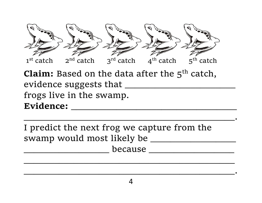

**Claim:** Based on the data after the 5<sup>th</sup> catch, evidence suggests that \_\_\_\_\_\_\_\_\_\_\_\_\_\_\_\_\_\_\_\_\_\_ frogs live in the swamp. Evidence: <u>\_\_\_\_\_\_\_\_\_\_\_\_\_\_\_</u>  $\blacksquare$  . The contract of the contract of the contract of the contract of the contract of the contract of the contract of the contract of the contract of the contract of the contract of the contract of the contract of the

I predict the next frog we capture from the swamp would most likely be \_\_\_\_\_\_\_\_\_\_\_\_\_\_\_\_\_ \_\_\_\_\_\_\_\_\_\_\_\_\_\_\_\_\_ because \_\_\_\_\_\_\_\_\_\_\_\_\_\_\_\_\_

 $\bullet$  . The contract of the contract of the contract of the contract of the contract of the contract of the contract of the contract of the contract of the contract of the contract of the contract of the contract of the co

 $\mathcal{L}_\mathcal{L} = \mathcal{L}_\mathcal{L} = \mathcal{L}_\mathcal{L} = \mathcal{L}_\mathcal{L} = \mathcal{L}_\mathcal{L} = \mathcal{L}_\mathcal{L} = \mathcal{L}_\mathcal{L} = \mathcal{L}_\mathcal{L} = \mathcal{L}_\mathcal{L} = \mathcal{L}_\mathcal{L} = \mathcal{L}_\mathcal{L} = \mathcal{L}_\mathcal{L} = \mathcal{L}_\mathcal{L} = \mathcal{L}_\mathcal{L} = \mathcal{L}_\mathcal{L} = \mathcal{L}_\mathcal{L} = \mathcal{L}_\mathcal{L}$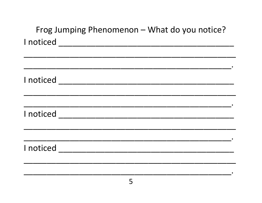| Frog Jumping Phenomenon - What do you notice? |  |  |  |
|-----------------------------------------------|--|--|--|
|                                               |  |  |  |
|                                               |  |  |  |
|                                               |  |  |  |
|                                               |  |  |  |
|                                               |  |  |  |
|                                               |  |  |  |
|                                               |  |  |  |
|                                               |  |  |  |
|                                               |  |  |  |
|                                               |  |  |  |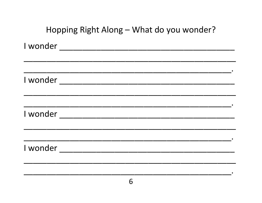| Hopping Right Along - What do you wonder? |
|-------------------------------------------|
|                                           |
|                                           |
|                                           |
|                                           |
| I wonder                                  |
|                                           |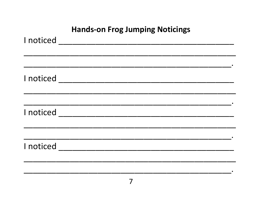#### **Hands-on Frog Jumping Noticings**